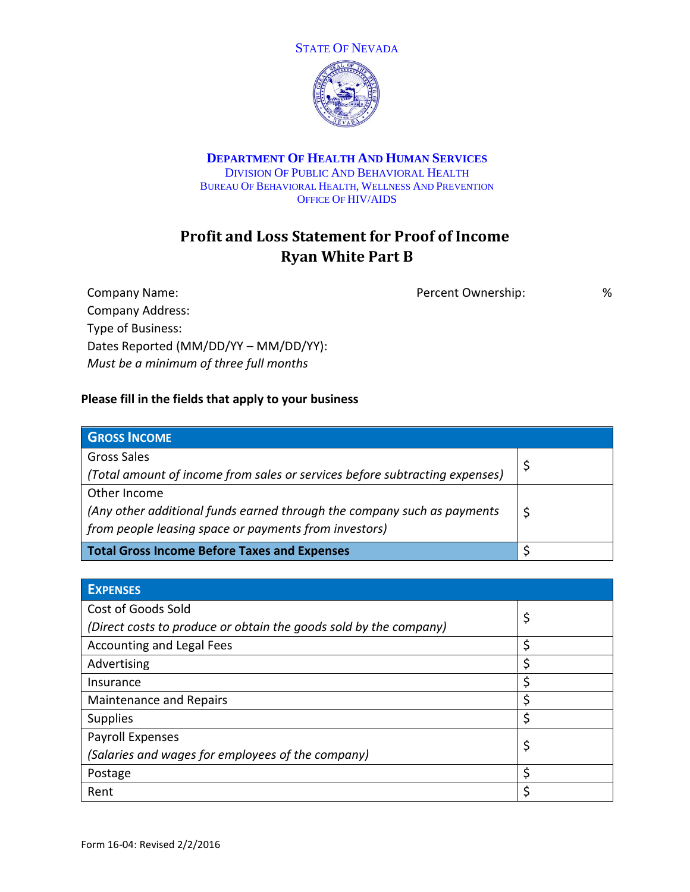

**DEPARTMENT OF HEALTH AND HUMAN SERVICES** DIVISION OF PUBLIC AND BEHAVIORAL HEALTH BUREAU OF BEHAVIORAL HEALTH, WELLNESS AND PREVENTION OFFICE OF HIV/AIDS

## **Profit and Loss Statement for Proof of Income Ryan White Part B**

Company Name:  $\blacksquare$  8 Company Address: Type of Business: Dates Reported (MM/DD/YY – MM/DD/YY): *Must be a minimum of three full months*

## **Please fill in the fields that apply to your business**

| <b>GROSS INCOME</b>                                                         |    |
|-----------------------------------------------------------------------------|----|
| <b>Gross Sales</b>                                                          |    |
| (Total amount of income from sales or services before subtracting expenses) |    |
| Other Income                                                                |    |
| (Any other additional funds earned through the company such as payments     | \$ |
| from people leasing space or payments from investors)                       |    |
| Total Gross Income Before Taxes and Expenses                                |    |

| <b>EXPENSES</b>                                                   |    |
|-------------------------------------------------------------------|----|
| Cost of Goods Sold                                                |    |
| (Direct costs to produce or obtain the goods sold by the company) | \$ |
| Accounting and Legal Fees                                         | \$ |
| Advertising                                                       | \$ |
| Insurance                                                         | \$ |
| <b>Maintenance and Repairs</b>                                    | \$ |
| <b>Supplies</b>                                                   | \$ |
| Payroll Expenses                                                  | \$ |
| (Salaries and wages for employees of the company)                 |    |
| Postage                                                           | \$ |
| Rent                                                              | \$ |